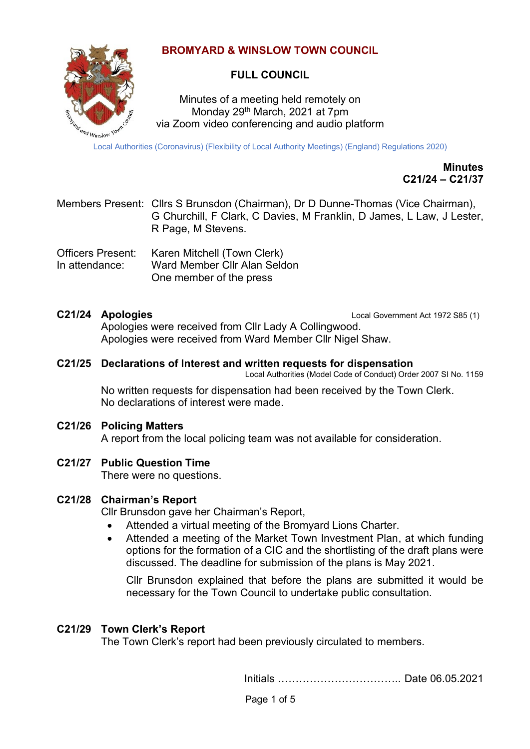# **BROMYARD & WINSLOW TOWN COUNCIL**



# **FULL COUNCIL**

Minutes of a meeting held remotely on Monday 29th March, 2021 at 7pm via Zoom video conferencing and audio platform

Local Authorities (Coronavirus) (Flexibility of Local Authority Meetings) (England) Regulations 2020)

**Minutes C21/24 – C21/37**

| Members Present: Cllrs S Brunsdon (Chairman), Dr D Dunne-Thomas (Vice Chairman), |
|----------------------------------------------------------------------------------|
| G Churchill, F Clark, C Davies, M Franklin, D James, L Law, J Lester,            |
| R Page, M Stevens.                                                               |

Officers Present: Karen Mitchell (Town Clerk) In attendance: Ward Member Cllr Alan Seldon One member of the press

**C21/24 Apologies** Local Government Act 1972 S85 (1)

Apologies were received from Cllr Lady A Collingwood. Apologies were received from Ward Member Cllr Nigel Shaw.

#### **C21/25 Declarations of Interest and written requests for dispensation**

Local Authorities (Model Code of Conduct) Order 2007 SI No. 1159

No written requests for dispensation had been received by the Town Clerk. No declarations of interest were made.

#### **C21/26 Policing Matters**

A report from the local policing team was not available for consideration.

# **C21/27 Public Question Time**

There were no questions.

#### **C21/28 Chairman's Report**

Cllr Brunsdon gave her Chairman's Report,

- Attended a virtual meeting of the Bromyard Lions Charter.
- Attended a meeting of the Market Town Investment Plan, at which funding options for the formation of a CIC and the shortlisting of the draft plans were discussed. The deadline for submission of the plans is May 2021.

Cllr Brunsdon explained that before the plans are submitted it would be necessary for the Town Council to undertake public consultation.

# **C21/29 Town Clerk's Report**

The Town Clerk's report had been previously circulated to members.

Initials …………………………….. Date 06.05.2021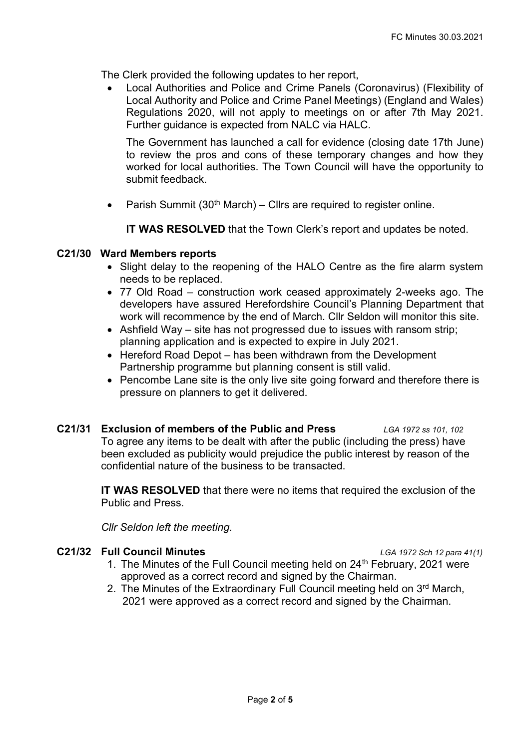The Clerk provided the following updates to her report,

• Local Authorities and Police and Crime Panels (Coronavirus) (Flexibility of Local Authority and Police and Crime Panel Meetings) (England and Wales) Regulations 2020, will not apply to meetings on or after 7th May 2021. Further guidance is expected from NALC via HALC.

The Government has launched a call for evidence (closing date 17th June) to review the pros and cons of these temporary changes and how they worked for local authorities. The Town Council will have the opportunity to submit feedback.

• Parish Summit  $(30<sup>th</sup> March) - Clrs$  are required to register online.

**IT WAS RESOLVED** that the Town Clerk's report and updates be noted.

# **C21/30 Ward Members reports**

- Slight delay to the reopening of the HALO Centre as the fire alarm system needs to be replaced.
- 77 Old Road construction work ceased approximately 2-weeks ago. The developers have assured Herefordshire Council's Planning Department that work will recommence by the end of March. Cllr Seldon will monitor this site.
- Ashfield Way site has not progressed due to issues with ransom strip; planning application and is expected to expire in July 2021.
- Hereford Road Depot has been withdrawn from the Development Partnership programme but planning consent is still valid.
- Pencombe Lane site is the only live site going forward and therefore there is pressure on planners to get it delivered.

#### **C21/31 Exclusion of members of the Public and Press** *LGA 1972 ss 101, 102* To agree any items to be dealt with after the public (including the press) have been excluded as publicity would prejudice the public interest by reason of the confidential nature of the business to be transacted.

**IT WAS RESOLVED** that there were no items that required the exclusion of the Public and Press.

*Cllr Seldon left the meeting.*

# **C21/32 Full Council Minutes** *LGA 1972 Sch 12 para 41(1)*

- 1. The Minutes of the Full Council meeting held on 24<sup>th</sup> February, 2021 were approved as a correct record and signed by the Chairman.
- 2. The Minutes of the Extraordinary Full Council meeting held on 3<sup>rd</sup> March, 2021 were approved as a correct record and signed by the Chairman.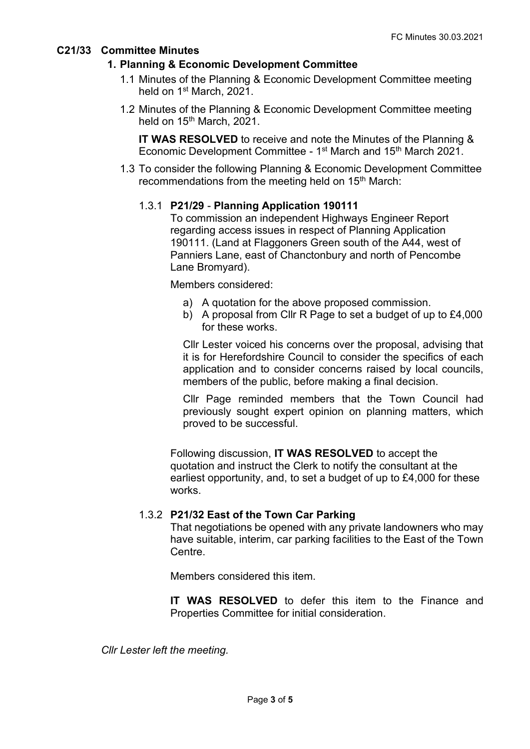# **C21/33 Committee Minutes**

# **1. Planning & Economic Development Committee**

- 1.1 Minutes of the Planning & Economic Development Committee meeting held on 1<sup>st</sup> March, 2021.
- 1.2 Minutes of the Planning & Economic Development Committee meeting held on 15<sup>th</sup> March, 2021.

**IT WAS RESOLVED** to receive and note the Minutes of the Planning & Economic Development Committee - 1<sup>st</sup> March and 15<sup>th</sup> March 2021.

1.3 To consider the following Planning & Economic Development Committee recommendations from the meeting held on 15<sup>th</sup> March:

# 1.3.1 **P21/29** - **Planning Application 190111**

To commission an independent Highways Engineer Report regarding access issues in respect of Planning Application 190111. (Land at Flaggoners Green south of the A44, west of Panniers Lane, east of Chanctonbury and north of Pencombe Lane Bromyard).

Members considered:

- a) A quotation for the above proposed commission.
- b) A proposal from Cllr R Page to set a budget of up to £4,000 for these works.

Cllr Lester voiced his concerns over the proposal, advising that it is for Herefordshire Council to consider the specifics of each application and to consider concerns raised by local councils, members of the public, before making a final decision.

Cllr Page reminded members that the Town Council had previously sought expert opinion on planning matters, which proved to be successful.

Following discussion, **IT WAS RESOLVED** to accept the quotation and instruct the Clerk to notify the consultant at the earliest opportunity, and, to set a budget of up to £4,000 for these works.

# 1.3.2 **P21/32 East of the Town Car Parking**

That negotiations be opened with any private landowners who may have suitable, interim, car parking facilities to the East of the Town **Centre** 

Members considered this item.

**IT WAS RESOLVED** to defer this item to the Finance and Properties Committee for initial consideration.

*Cllr Lester left the meeting.*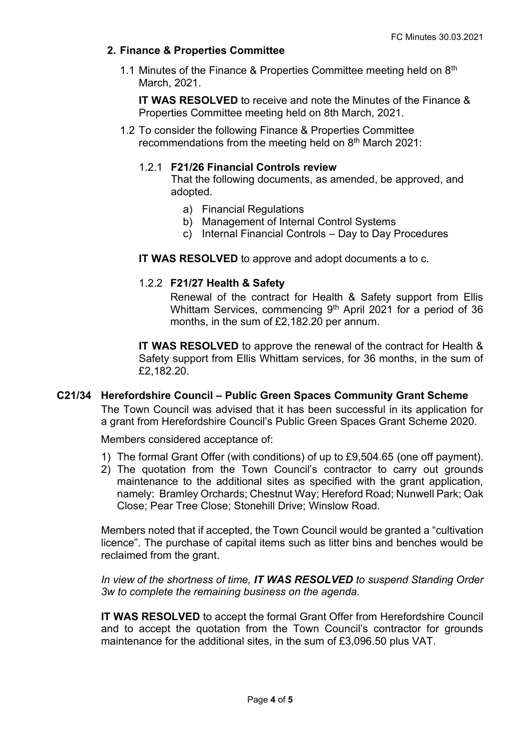# **2. Finance & Properties Committee**

1.1 Minutes of the Finance & Properties Committee meeting held on  $8<sup>th</sup>$ March, 2021.

**IT WAS RESOLVED** to receive and note the Minutes of the Finance & Properties Committee meeting held on 8th March, 2021.

1.2 To consider the following Finance & Properties Committee recommendations from the meeting held on 8<sup>th</sup> March 2021:

# 1.2.1 **F21/26 Financial Controls review**

That the following documents, as amended, be approved, and adopted.

- a) Financial Regulations
- b) Management of Internal Control Systems
- c) Internal Financial Controls Day to Day Procedures
- **IT WAS RESOLVED** to approve and adopt documents a to c.

# 1.2.2 **F21/27 Health & Safety**

Renewal of the contract for Health & Safety support from Ellis Whittam Services, commencing 9<sup>th</sup> April 2021 for a period of 36 months, in the sum of £2,182.20 per annum.

**IT WAS RESOLVED** to approve the renewal of the contract for Health & Safety support from Ellis Whittam services, for 36 months, in the sum of £2,182.20.

# **C21/34 Herefordshire Council – Public Green Spaces Community Grant Scheme**

The Town Council was advised that it has been successful in its application for a grant from Herefordshire Council's Public Green Spaces Grant Scheme 2020.

Members considered acceptance of:

- 1) The formal Grant Offer (with conditions) of up to £9,504.65 (one off payment).
- 2) The quotation from the Town Council's contractor to carry out grounds maintenance to the additional sites as specified with the grant application, namely: Bramley Orchards; Chestnut Way; Hereford Road; Nunwell Park; Oak Close; Pear Tree Close; Stonehill Drive; Winslow Road.

Members noted that if accepted, the Town Council would be granted a "cultivation licence". The purchase of capital items such as litter bins and benches would be reclaimed from the grant.

*In view of the shortness of time, IT WAS RESOLVED to suspend Standing Order 3w to complete the remaining business on the agenda.*

**IT WAS RESOLVED** to accept the formal Grant Offer from Herefordshire Council and to accept the quotation from the Town Council's contractor for grounds maintenance for the additional sites, in the sum of £3,096.50 plus VAT.